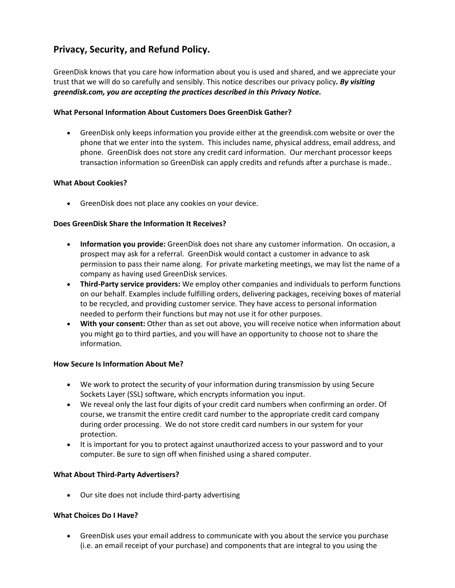# **Privacy, Security, and Refund Policy.**

GreenDisk knows that you care how information about you is used and shared, and we appreciate your trust that we will do so carefully and sensibly. This notice describes our privacy policy*. By visiting greendisk.com, you are accepting the practices described in this Privacy Notice.*

# **What Personal Information About Customers Does GreenDisk Gather?**

• GreenDisk only keeps information you provide either at the greendisk.com website or over the phone that we enter into the system. This includes name, physical address, email address, and phone. GreenDisk does not store any credit card information. Our merchant processor keeps transaction information so GreenDisk can apply credits and refunds after a purchase is made..

# **What About Cookies?**

• GreenDisk does not place any cookies on your device.

# **Does GreenDisk Share the Information It Receives?**

- **Information you provide:** GreenDisk does not share any customer information. On occasion, a prospect may ask for a referral. GreenDisk would contact a customer in advance to ask permission to pass their name along. For private marketing meetings, we may list the name of a company as having used GreenDisk services.
- **Third-Party service providers:** We employ other companies and individuals to perform functions on our behalf. Examples include fulfilling orders, delivering packages, receiving boxes of material to be recycled, and providing customer service. They have access to personal information needed to perform their functions but may not use it for other purposes.
- **With your consent:** Other than as set out above, you will receive notice when information about you might go to third parties, and you will have an opportunity to choose not to share the information.

#### **How Secure Is Information About Me?**

- We work to protect the security of your information during transmission by using Secure Sockets Layer (SSL) software, which encrypts information you input.
- We reveal only the last four digits of your credit card numbers when confirming an order. Of course, we transmit the entire credit card number to the appropriate credit card company during order processing. We do not store credit card numbers in our system for your protection.
- It is important for you to protect against unauthorized access to your password and to your computer. Be sure to sign off when finished using a shared computer.

#### **What About Third-Party Advertisers?**

• Our site does not include third-party advertising

#### **What Choices Do I Have?**

• GreenDisk uses your email address to communicate with you about the service you purchase (i.e. an email receipt of your purchase) and components that are integral to you using the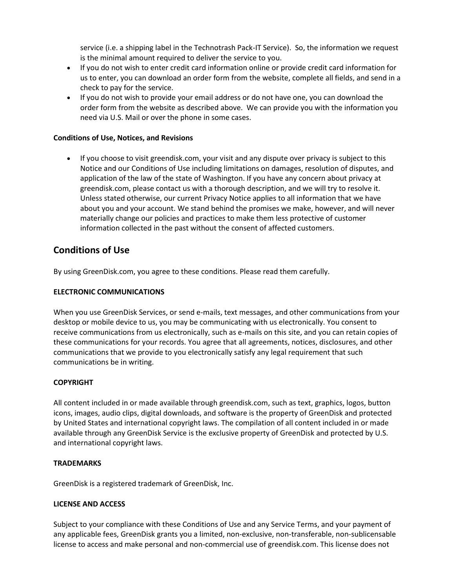service (i.e. a shipping label in the Technotrash Pack-IT Service). So, the information we request is the minimal amount required to deliver the service to you.

- If you do not wish to enter credit card information online or provide credit card information for us to enter, you can download an order form from the website, complete all fields, and send in a check to pay for the service.
- If you do not wish to provide your email address or do not have one, you can download the order form from the website as described above. We can provide you with the information you need via U.S. Mail or over the phone in some cases.

#### **Conditions of Use, Notices, and Revisions**

• If you choose to visit greendisk.com, your visit and any dispute over privacy is subject to this Notice and our Conditions of Use including limitations on damages, resolution of disputes, and application of the law of the state of Washington. If you have any concern about privacy at greendisk.com, please contact us with a thorough description, and we will try to resolve it. Unless stated otherwise, our current Privacy Notice applies to all information that we have about you and your account. We stand behind the promises we make, however, and will never materially change our policies and practices to make them less protective of customer information collected in the past without the consent of affected customers.

# **Conditions of Use**

By using GreenDisk.com, you agree to these conditions. Please read them carefully.

#### **ELECTRONIC COMMUNICATIONS**

When you use GreenDisk Services, or send e-mails, text messages, and other communications from your desktop or mobile device to us, you may be communicating with us electronically. You consent to receive communications from us electronically, such as e-mails on this site, and you can retain copies of these communications for your records. You agree that all agreements, notices, disclosures, and other communications that we provide to you electronically satisfy any legal requirement that such communications be in writing.

#### **COPYRIGHT**

All content included in or made available through greendisk.com, such as text, graphics, logos, button icons, images, audio clips, digital downloads, and software is the property of GreenDisk and protected by United States and international copyright laws. The compilation of all content included in or made available through any GreenDisk Service is the exclusive property of GreenDisk and protected by U.S. and international copyright laws.

#### **TRADEMARKS**

GreenDisk is a registered trademark of GreenDisk, Inc.

#### **LICENSE AND ACCESS**

Subject to your compliance with these Conditions of Use and any Service Terms, and your payment of any applicable fees, GreenDisk grants you a limited, non-exclusive, non-transferable, non-sublicensable license to access and make personal and non-commercial use of greendisk.com. This license does not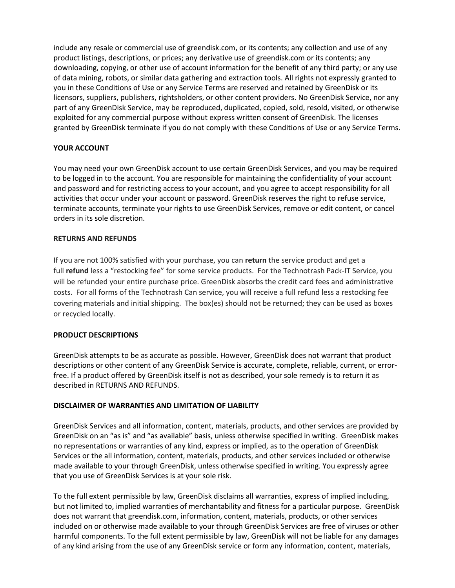include any resale or commercial use of greendisk.com, or its contents; any collection and use of any product listings, descriptions, or prices; any derivative use of greendisk.com or its contents; any downloading, copying, or other use of account information for the benefit of any third party; or any use of data mining, robots, or similar data gathering and extraction tools. All rights not expressly granted to you in these Conditions of Use or any Service Terms are reserved and retained by GreenDisk or its licensors, suppliers, publishers, rightsholders, or other content providers. No GreenDisk Service, nor any part of any GreenDisk Service, may be reproduced, duplicated, copied, sold, resold, visited, or otherwise exploited for any commercial purpose without express written consent of GreenDisk. The licenses granted by GreenDisk terminate if you do not comply with these Conditions of Use or any Service Terms.

# **YOUR ACCOUNT**

You may need your own GreenDisk account to use certain GreenDisk Services, and you may be required to be logged in to the account. You are responsible for maintaining the confidentiality of your account and password and for restricting access to your account, and you agree to accept responsibility for all activities that occur under your account or password. GreenDisk reserves the right to refuse service, terminate accounts, terminate your rights to use GreenDisk Services, remove or edit content, or cancel orders in its sole discretion.

#### **RETURNS AND REFUNDS**

If you are not 100% satisfied with your purchase, you can **return** the service product and get a full **refund** less a "restocking fee" for some service products. For the Technotrash Pack-IT Service, you will be refunded your entire purchase price. GreenDisk absorbs the credit card fees and administrative costs. For all forms of the Technotrash Can service, you will receive a full refund less a restocking fee covering materials and initial shipping. The box(es) should not be returned; they can be used as boxes or recycled locally.

#### **PRODUCT DESCRIPTIONS**

GreenDisk attempts to be as accurate as possible. However, GreenDisk does not warrant that product descriptions or other content of any GreenDisk Service is accurate, complete, reliable, current, or errorfree. If a product offered by GreenDisk itself is not as described, your sole remedy is to return it as described in RETURNS AND REFUNDS.

#### **DISCLAIMER OF WARRANTIES AND LIMITATION OF LIABILITY**

GreenDisk Services and all information, content, materials, products, and other services are provided by GreenDisk on an "as is" and "as available" basis, unless otherwise specified in writing. GreenDisk makes no representations or warranties of any kind, express or implied, as to the operation of GreenDisk Services or the all information, content, materials, products, and other services included or otherwise made available to your through GreenDisk, unless otherwise specified in writing. You expressly agree that you use of GreenDisk Services is at your sole risk.

To the full extent permissible by law, GreenDisk disclaims all warranties, express of implied including, but not limited to, implied warranties of merchantability and fitness for a particular purpose. GreenDisk does not warrant that greendisk.com, information, content, materials, products, or other services included on or otherwise made available to your through GreenDisk Services are free of viruses or other harmful components. To the full extent permissible by law, GreenDisk will not be liable for any damages of any kind arising from the use of any GreenDisk service or form any information, content, materials,